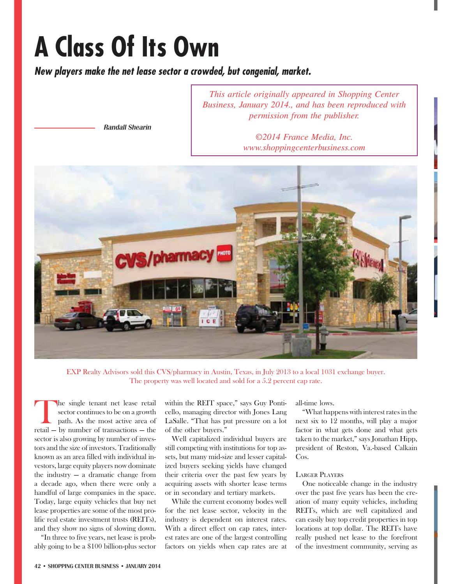# **A Class Of Its Own**

*New players make the net lease sector a crowded, but congenial, market.*

*This article originally appeared in Shopping Center Business, January 2014., and has been reproduced with permission from the publisher.* 

Randall Shearin

*©2014 France Media, Inc. www.shoppingcenterbusiness.com*



EXP Realty Advisors sold this CVS/pharmacy in Austin, Texas, in July 2013 to a local 1031 exchange buyer. The property was well located and sold for a 5.2 percent cap rate.

The single tenant net lease retail<br>sector continues to be on a growth<br>path. As the most active area of<br>retail — by number of transactions — the sector continues to be on a growth path. As the most active area of retail — by number of transactions — the sector is also growing by number of investors and the size of investors. Traditionally known as an area filled with individual investors, large equity players now dominate the industry — a dramatic change from a decade ago, when there were only a handful of large companies in the space. Today, large equity vehicles that buy net lease properties are some of the most prolific real estate investment trusts (REITs), and they show no signs of slowing down.

"In three to five years, net lease is probably going to be a \$100 billion-plus sector within the REIT space," says Guy Ponticello, managing director with Jones Lang LaSalle. "That has put pressure on a lot of the other buyers."

Well capitalized individual buyers are still competing with institutions for top assets, but many mid-size and lesser capitalized buyers seeking yields have changed their criteria over the past few years by acquiring assets with shorter lease terms or in secondary and tertiary markets.

While the current economy bodes well for the net lease sector, velocity in the industry is dependent on interest rates. With a direct effect on cap rates, interest rates are one of the largest controlling factors on yields when cap rates are at

all-time lows.

"What happens with interest rates in the next six to 12 months, will play a major factor in what gets done and what gets taken to the market," says Jonathan Hipp, president of Reston, Va.-based Calkain Cos.

# LARGER PLAYERS

One noticeable change in the industry over the past five years has been the creation of many equity vehicles, including REITs, which are well capitalized and can easily buy top credit properties in top locations at top dollar. The REITs have really pushed net lease to the forefront of the investment community, serving as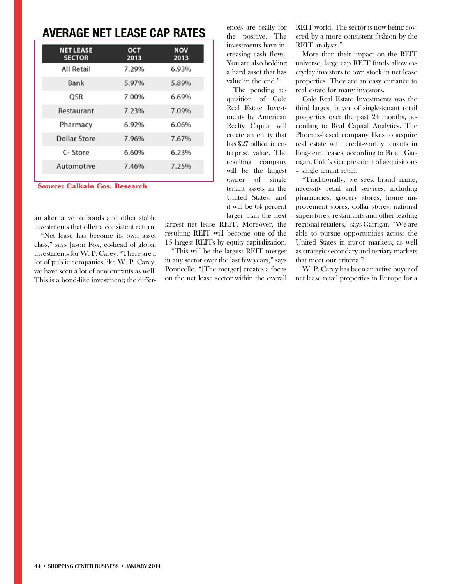# **AVERAGE NET LEASE CAP RATES**

| <b>NET LEASE</b> | OCT   | <b>NOV</b> |
|------------------|-------|------------|
| <b>SECTOR</b>    | 2013  | 2013       |
| All Retail       | 7.29% | 6.93%      |
| Bank             | 5.97% | 5.89%      |
| OSR              | 7.00% | 6.69%      |
| Restaurant       | 7.23% | 7.09%      |
| Pharmacy         | 6.92% | 6.06%      |
| Dollar Store     | 7.96% | 7.67%      |
| C-Store          | 6.60% | 6.23%      |
| Automotive       | 7.46% | 7.25%      |

**Source: Calkain Cos. Research**

an alternative to bonds and other stable investments that offer a consistent return.

"Net lease has become its own asset class," says Jason Fox, co-head of global investments for W. P. Carey. "There are a lot of public companies like W. P. Carey; we have seen a lot of new entrants as well. This is a bond-like investment; the differences are really for the positive. The investments have increasing cash flows. You are also holding a hard asset that has value in the end."

The pending acquisition of Cole Real Estate Investments by American Realty Capital will create an entity that has \$27 billion in enterprise value. The resulting company will be the largest owner of single tenant assets in the United States, and it will be 64 percent larger than the next

largest net lease REIT. Moreover, the resulting REIT will become one of the 15 largest REITs by equity capitalization.

"This will be the largest REIT merger in any sector over the last few years," says Ponticello. "[The merger] creates a focus on the net lease sector within the overall

REIT world. The sector is now being covered by a more consistent fashion by the REIT analysts."

More than their impact on the REIT universe, large cap REIT funds allow everyday investors to own stock in net lease properties. They are an easy entrance to real estate for many investors.

Cole Real Estate Investments was the third largest buyer of single-tenant retail properties over the past 24 months, according to Real Capital Analytics. The Phoenix-based company likes to acquire real estate with credit-worthy tenants in long-term leases, according to Brian Garrigan, Cole's vice president of acquisitions – single tenant retail.

"Traditionally, we seek brand name, necessity retail and services, including pharmacies, grocery stores, home improvement stores, dollar stores, national superstores, restaurants and other leading regional retailers," says Garrigan. "We are able to pursue opportunities across the United States in major markets, as well as strategic secondary and tertiary markets that meet our criteria."

W. P. Carey has been an active buyer of net lease retail properties in Europe for a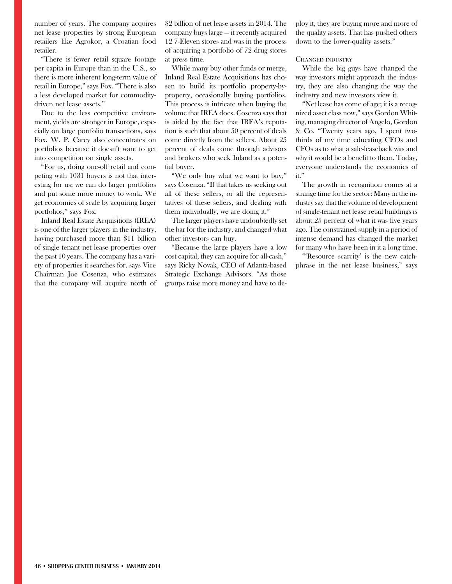number of years. The company acquires net lease properties by strong European retailers like Agrokor, a Croatian food retailer.

"There is fewer retail square footage per capita in Europe than in the U.S., so there is more inherent long-term value of retail in Europe," says Fox. "There is also a less developed market for commoditydriven net lease assets."

Due to the less competitive environment, yields are stronger in Europe, especially on large portfolio transactions, says Fox. W. P. Carey also concentrates on portfolios because it doesn't want to get into competition on single assets.

"For us, doing one-off retail and competing with 1031 buyers is not that interesting for us; we can do larger portfolios and put some more money to work. We get economies of scale by acquiring larger portfolios," says Fox.

Inland Real Estate Acquisitions (IREA) is one of the larger players in the industry, having purchased more than \$11 billion of single tenant net lease properties over the past 10 years. The company has a variety of properties it searches for, says Vice Chairman Joe Cosenza, who estimates that the company will acquire north of \$2 billion of net lease assets in 2014. The company buys large — it recently acquired 12 7-Eleven stores and was in the process of acquiring a portfolio of 72 drug stores at press time.

While many buy other funds or merge, Inland Real Estate Acquisitions has chosen to build its portfolio property-byproperty, occasionally buying portfolios. This process is intricate when buying the volume that IREA does. Cosenza says that is aided by the fact that IREA's reputation is such that about 50 percent of deals come directly from the sellers. About 25 percent of deals come through advisors and brokers who seek Inland as a potential buyer.

"We only buy what we want to buy," says Cosenza. "If that takes us seeking out all of these sellers, or all the representatives of these sellers, and dealing with them individually, we are doing it."

The larger players have undoubtedly set the bar for the industry, and changed what other investors can buy.

"Because the large players have a low cost capital, they can acquire for all-cash," says Ricky Novak, CEO of Atlanta-based Strategic Exchange Advisors. "As those groups raise more money and have to deploy it, they are buying more and more of the quality assets. That has pushed others down to the lower-quality assets."

## CHANGED INDUSTRY

While the big guys have changed the way investors might approach the industry, they are also changing the way the industry and new investors view it.

"Net lease has come of age; it is a recognized asset class now," says Gordon Whiting, managing director of Angelo, Gordon & Co. "Twenty years ago, I spent twothirds of my time educating CEOs and CFOs as to what a sale-leaseback was and why it would be a benefit to them. Today, everyone understands the economics of it."

The growth in recognition comes at a strange time for the sector: Many in the industry say that the volume of development of single-tenant net lease retail buildings is about 25 percent of what it was five years ago. The constrained supply in a period of intense demand has changed the market for many who have been in it a long time.

"'Resource scarcity' is the new catchphrase in the net lease business," says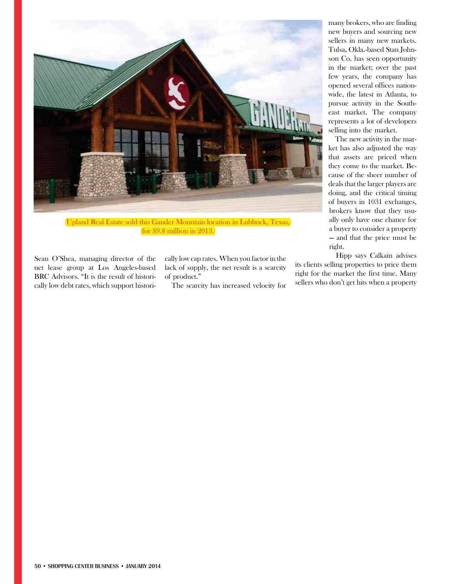

for \$9.8 million in 2013.

Sean O'Shea, managing director of the net lease group at Los Angeles-based BRC Advisors. "It is the result of historically low debt rates, which support historically low cap rates. When you factor in the lack of supply, the net result is a scarcity of product."

The scarcity has increased velocity for

many brokers, who are finding new buyers and sourcing new sellers in many new markets. Tulsa, Okla.-based Stan Johnson Co. has seen opportunity in the market; over the past few years, the company has opened several offices nationwide, the latest in Atlanta, to pursue activity in the Southeast market. The company represents a lot of developers selling into the market.

The new activity in the market has also adjusted the way that assets are priced when they come to the market. Because of the sheer number of deals that the larger players are doing, and the critical timing of buyers in 1031 exchanges, brokers know that they usually only have one chance for a buyer to consider a property — and that the price must be right.

Hipp says Calkain advises its clients selling properties to price them right for the market the first time. Many sellers who don't get hits when a property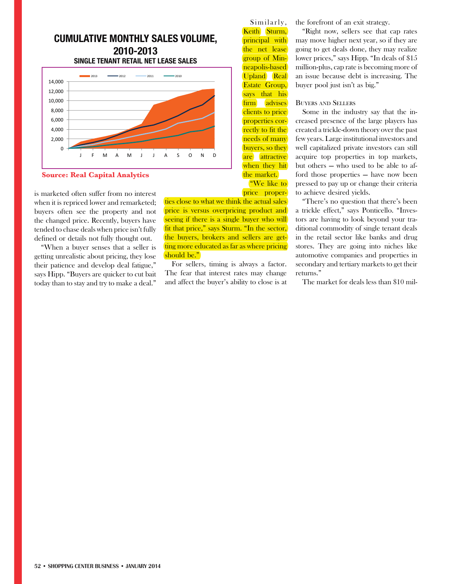# **CUMULATIVE MONTHLY SALES VOLUME, 2010-2013 SINGLE TENANT RETAIL NET LEASE SALES**



**Source: Real Capital Analytics**

is marketed often suffer from no interest when it is repriced lower and remarketed; buyers often see the property and not the changed price. Recently, buyers have tended to chase deals when price isn't fully defined or details not fully thought out.

"When a buyer senses that a seller is getting unrealistic about pricing, they lose their patience and develop deal fatigue," says Hipp. "Buyers are quicker to cut bait today than to stay and try to make a deal."

"We like to price properties close to what we think the actual sales price is versus overpricing product and seeing if there is a single buyer who will fit that price," says Sturm. "In the sector, the buyers, brokers and sellers are getting more educated as far as where pricing should be."

For sellers, timing is always a factor. The fear that interest rates may change and affect the buyer's ability to close is at

Similarly, the forefront of an exit strategy.

Keith Sturm, Sturm, principal with the net lease group of Min-<mark>neapolis-based</mark> Upland Real Estate Group, Group, <mark>says that his</mark> firm advises advises clients to price properties correctly to fit the <mark>needs of many</mark> buyers, so they are attractive when they hit the market.

"Right now, sellers see that cap rates may move higher next year, so if they are going to get deals done, they may realize lower prices," says Hipp. "In deals of \$15 million-plus, cap rate is becoming more of an issue because debt is increasing. The buyer pool just isn't as big."

### BUYERS AND SELLERS

Some in the industry say that the increased presence of the large players has created a trickle-down theory over the past few years. Large institutional investors and well capitalized private investors can still acquire top properties in top markets, but others — who used to be able to afford those properties — have now been pressed to pay up or change their criteria to achieve desired yields.

"There's no question that there's been a trickle effect," says Ponticello. "Investors are having to look beyond your traditional commodity of single tenant deals in the retail sector like banks and drug stores. They are going into niches like automotive companies and properties in secondary and tertiary markets to get their returns."

The market for deals less than \$10 mil-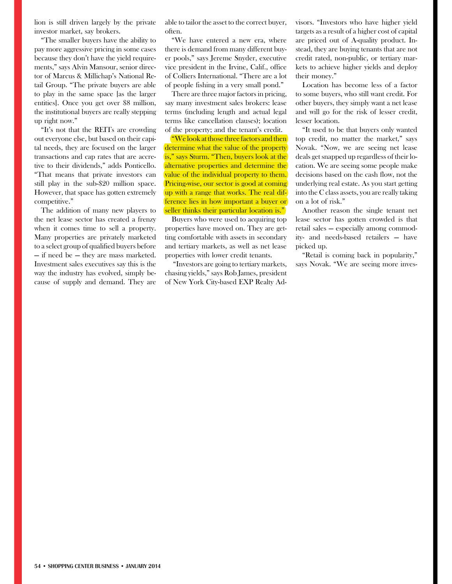lion is still driven largely by the private investor market, say brokers.

"The smaller buyers have the ability to pay more aggressive pricing in some cases because they don't have the yield requirements," says Alvin Mansour, senior director of Marcus & Millichap's National Retail Group. "The private buyers are able to play in the same space [as the larger entities]. Once you get over \$8 million, the institutional buyers are really stepping up right now."

"It's not that the REITs are crowding out everyone else, but based on their capital needs, they are focused on the larger transactions and cap rates that are accretive to their dividends," adds Ponticello. "That means that private investors can still play in the sub-\$20 million space. However, that space has gotten extremely competitive."

The addition of many new players to the net lease sector has created a frenzy when it comes time to sell a property. Many properties are privately marketed to a select group of qualified buyers before — if need be — they are mass marketed. Investment sales executives say this is the way the industry has evolved, simply because of supply and demand. They are able to tailor the asset to the correct buyer, often.

"We have entered a new era, where there is demand from many different buyer pools," says Jereme Snyder, executive vice president in the Irvine, Calif., office of Colliers International. "There are a lot of people fishing in a very small pond."

There are three major factors in pricing, say many investment sales brokers: lease terms (including length and actual legal terms like cancellation clauses); location of the property; and the tenant's credit.

"We look at those three factors and then determine what the value of the property is," says Sturm. "Then, buyers look at the alternative properties and determine the value of the individual property to them. Pricing-wise, our sector is good at coming up with a range that works. The real difference lies in how important a buyer or seller thinks their particular location is."

Buyers who were used to acquiring top properties have moved on. They are getting comfortable with assets in secondary and tertiary markets, as well as net lease properties with lower credit tenants.

 "Investors are going to tertiary markets, chasing yields," says Rob James, president of New York City-based EXP Realty Advisors. "Investors who have higher yield targets as a result of a higher cost of capital are priced out of A-quality product. Instead, they are buying tenants that are not credit rated, non-public, or tertiary markets to achieve higher yields and deploy their money."

Location has become less of a factor to some buyers, who still want credit. For other buyers, they simply want a net lease and will go for the risk of lesser credit, lesser location.

"It used to be that buyers only wanted top credit, no matter the market," says Novak. "Now, we are seeing net lease deals get snapped up regardless of their location. We are seeing some people make decisions based on the cash flow, not the underlying real estate. As you start getting into the C class assets, you are really taking on a lot of risk."

Another reason the single tenant net lease sector has gotten crowded is that retail sales — especially among commodity- and needs-based retailers — have picked up.

"Retail is coming back in popularity," says Novak. "We are seeing more inves-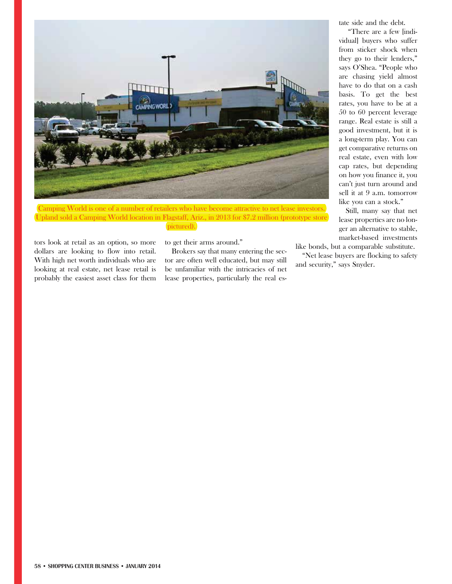

Camping World is one of a number of retailers who have become attractive to net lease investors. Upland sold a Camping World location in Flagstaff, Ariz., in 2013 for \$7.2 million (prototype store) pictured).

tors look at retail as an option, so more dollars are looking to flow into retail. With high net worth individuals who are looking at real estate, net lease retail is probably the easiest asset class for them

# to get their arms around."

Brokers say that many entering the sector are often well educated, but may still be unfamiliar with the intricacies of net lease properties, particularly the real estate side and the debt.

 "There are a few [individual] buyers who suffer from sticker shock when they go to their lenders," says O'Shea. "People who are chasing yield almost have to do that on a cash basis. To get the best rates, you have to be at a 50 to 60 percent leverage range. Real estate is still a good investment, but it is a long-term play. You can get comparative returns on real estate, even with low cap rates, but depending on how you finance it, you can't just turn around and sell it at 9 a.m. tomorrow like you can a stock."

Still, many say that net lease properties are no longer an alternative to stable, market-based investments

like bonds, but a comparable substitute.

"Net lease buyers are flocking to safety and security," says Snyder.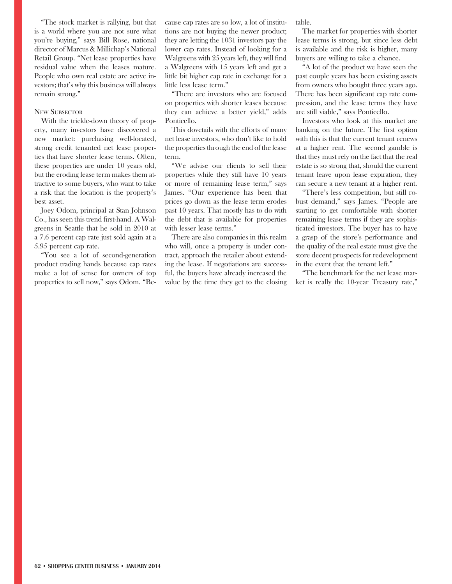"The stock market is rallying, but that is a world where you are not sure what you're buying," says Bill Rose, national director of Marcus & Millichap's National Retail Group. "Net lease properties have residual value when the leases mature. People who own real estate are active investors; that's why this business will always remain strong."

#### NEW SUBSECTOR

With the trickle-down theory of property, many investors have discovered a new market: purchasing well-located, strong credit tenanted net lease properties that have shorter lease terms. Often, these properties are under 10 years old, but the eroding lease term makes them attractive to some buyers, who want to take a risk that the location is the property's best asset.

Joey Odom, principal at Stan Johnson Co., has seen this trend first-hand. A Walgreens in Seattle that he sold in 2010 at a 7.6 percent cap rate just sold again at a 5.95 percent cap rate.

"You see a lot of second-generation product trading hands because cap rates make a lot of sense for owners of top properties to sell now," says Odom. "Because cap rates are so low, a lot of institutions are not buying the newer product; they are letting the 1031 investors pay the lower cap rates. Instead of looking for a Walgreens with 25 years left, they will find a Walgreens with 15 years left and get a little bit higher cap rate in exchange for a little less lease term."

"There are investors who are focused on properties with shorter leases because they can achieve a better yield," adds Ponticello.

This dovetails with the efforts of many net lease investors, who don't like to hold the properties through the end of the lease term.

"We advise our clients to sell their properties while they still have 10 years or more of remaining lease term," says James. "Our experience has been that prices go down as the lease term erodes past 10 years. That mostly has to do with the debt that is available for properties with lesser lease terms."

There are also companies in this realm who will, once a property is under contract, approach the retailer about extending the lease. If negotiations are successful, the buyers have already increased the value by the time they get to the closing table.

The market for properties with shorter lease terms is strong, but since less debt is available and the risk is higher, many buyers are willing to take a chance.

"A lot of the product we have seen the past couple years has been existing assets from owners who bought three years ago. There has been significant cap rate compression, and the lease terms they have are still viable," says Ponticello.

Investors who look at this market are banking on the future. The first option with this is that the current tenant renews at a higher rent. The second gamble is that they must rely on the fact that the real estate is so strong that, should the current tenant leave upon lease expiration, they can secure a new tenant at a higher rent.

"There's less competition, but still robust demand," says James. "People are starting to get comfortable with shorter remaining lease terms if they are sophisticated investors. The buyer has to have a grasp of the store's performance and the quality of the real estate must give the store decent prospects for redevelopment in the event that the tenant left."

"The benchmark for the net lease market is really the 10-year Treasury rate,"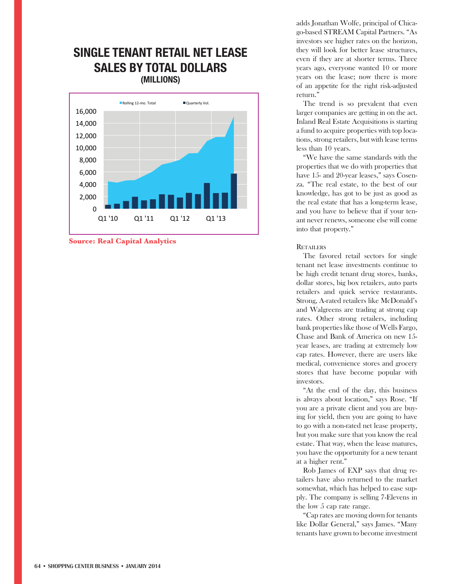# **SINGLE TENANT RETAIL NET LEASE SALES BY TOTAL DOLLARS (MILLIONS)**





adds Jonathan Wolfe, principal of Chicago-based STREAM Capital Partners. "As investors see higher rates on the horizon, they will look for better lease structures, even if they are at shorter terms. Three years ago, everyone wanted 10 or more years on the lease; now there is more of an appetite for the right risk-adjusted return."

The trend is so prevalent that even larger companies are getting in on the act. Inland Real Estate Acquisitions is starting a fund to acquire properties with top locations, strong retailers, but with lease terms less than 10 years.

"We have the same standards with the properties that we do with properties that have 15- and 20-year leases," says Cosenza. "The real estate, to the best of our knowledge, has got to be just as good as the real estate that has a long-term lease, and you have to believe that if your tenant never renews, someone else will come into that property."

## **RETAILERS**

The favored retail sectors for single tenant net lease investments continue to be high credit tenant drug stores, banks, dollar stores, big box retailers, auto parts retailers and quick service restaurants. Strong, A-rated retailers like McDonald's and Walgreens are trading at strong cap rates. Other strong retailers, including bank properties like those of Wells Fargo, Chase and Bank of America on new 15 year leases, are trading at extremely low cap rates. However, there are users like medical, convenience stores and grocery stores that have become popular with investors.

"At the end of the day, this business is always about location," says Rose. "If you are a private client and you are buying for yield, then you are going to have to go with a non-rated net lease property, but you make sure that you know the real estate. That way, when the lease matures, you have the opportunity for a new tenant at a higher rent."

Rob James of EXP says that drug retailers have also returned to the market somewhat, which has helped to ease supply. The company is selling 7-Elevens in the low 5 cap rate range.

"Cap rates are moving down for tenants like Dollar General," says James. "Many tenants have grown to become investment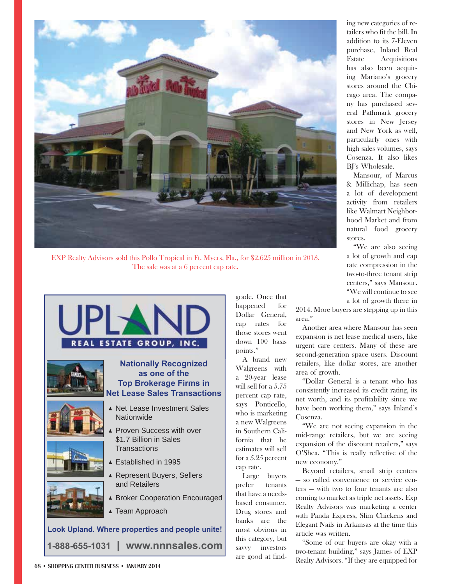

EXP Realty Advisors sold this Pollo Tropical in Ft. Myers, Fla., for \$2.625 million in 2013. The sale was at a 6 percent cap rate.



grade. Once that

happened for Dollar General, cap rates for those stores went down 100 basis points."

A brand new Walgreens with a 20-year lease will sell for a 5.75 percent cap rate, says Ponticello, who is marketing a new Walgreens in Southern California that he estimates will sell for a 5.25 percent cap rate.

Large buyers prefer tenants that have a needsbased consumer. Drug stores and banks are the most obvious in this category, but savvy investors are good at finding new categories of retailers who fit the bill. In addition to its 7-Eleven purchase, Inland Real Estate Acquisitions has also been acquiring Mariano's grocery stores around the Chicago area. The company has purchased several Pathmark grocery stores in New Jersey and New York as well, particularly ones with high sales volumes, says Cosenza. It also likes BI's Wholesale.

Mansour, of Marcus & Millichap, has seen a lot of development activity from retailers like Walmart Neighborhood Market and from natural food grocery stores.

"We are also seeing a lot of growth and cap rate compression in the two-to-three tenant strip centers," says Mansour. "We will continue to see a lot of growth there in

2014. More buyers are stepping up in this area."

Another area where Mansour has seen expansion is net lease medical users, like urgent care centers. Many of these are second-generation space users. Discount retailers, like dollar stores, are another area of growth.

"Dollar General is a tenant who has consistently increased its credit rating, its net worth, and its profitability since we have been working them," says Inland's Cosenza.

"We are not seeing expansion in the mid-range retailers, but we are seeing expansion of the discount retailers," says O'Shea. "This is really reflective of the new economy."

Beyond retailers, small strip centers — so called convenience or service centers — with two to four tenants are also coming to market as triple net assets. Exp Realty Advisors was marketing a center with Panda Express, Slim Chickens and Elegant Nails in Arkansas at the time this article was written.

"Some of our buyers are okay with a two-tenant building," says James of EXP Realty Advisors. "If they are equipped for